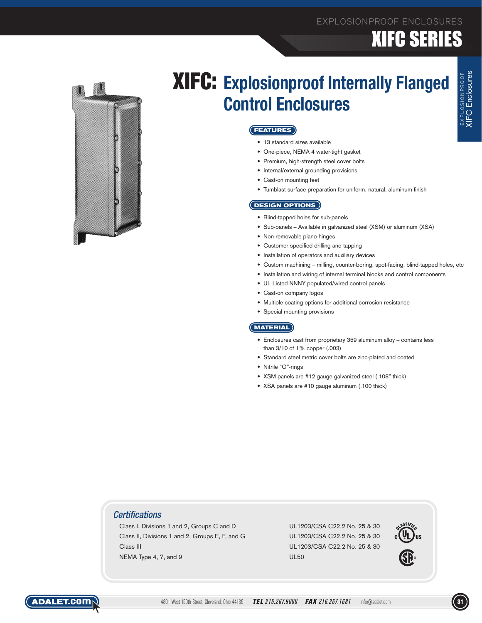# XIFC SERIES



## XIFC: **Explosionproof Internally Flanged Control Enclosures**

#### **FEATURES**

- 13 standard sizes available
- • One-piece, NEMA 4 water-tight gasket
- Premium, high-strength steel cover bolts
- • Internal/external grounding provisions
- Cast-on mounting feet
- • Tumblast surface preparation for uniform, natural, aluminum finish

#### **DESIGN OPTIONS**

- • Blind-tapped holes for sub-panels
- Sub-panels Available in galvanized steel (XSM) or aluminum (XSA)
- • Non-removable piano-hinges
- • Customer specified drilling and tapping
- Installation of operators and auxiliary devices
- • Custom machining milling, counter-boring, spot-facing, blind-tapped holes, etc
- Installation and wiring of internal terminal blocks and control components
- • UL Listed NNNY populated/wired control panels
- Cast-on company logos
- • Multiple coating options for additional corrosion resistance
- • Special mounting provisions

#### **MATERIAL**

- • Enclosures cast from proprietary 359 aluminum alloy contains less than 3/10 of 1% copper (.003)
- • Standard steel metric cover bolts are zinc-plated and coated
- • Nitrile "O"-rings
- • XSM panels are #12 gauge galvanized steel (.108" thick)
- XSA panels are #10 gauge aluminum (.100 thick)

#### *Certifications*

Class I, Divisions 1 and 2, Groups C and D UL1203/CSA C22.2 No. 25 & 30 Class II, Divisions 1 and 2, Groups E, F, and G UL1203/CSA C22.2 No. 25 & 30 Class III UL1203/CSA C22.2 No. 25 & 30 NEMA Type 4, 7, and 9 UL50





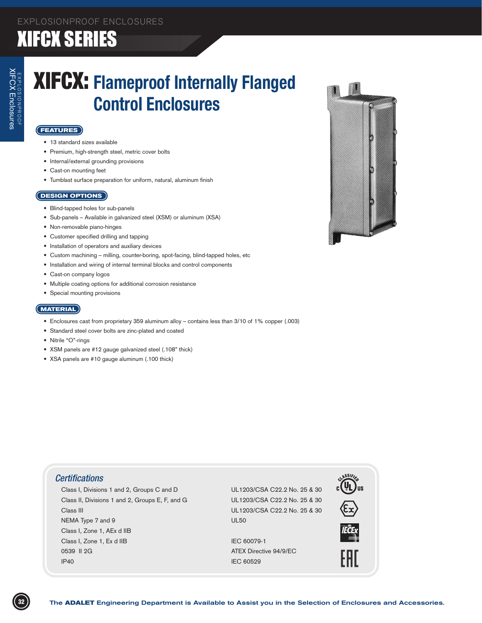### EXPLOSIONPROOF ENCLOSURES XIFCX SERIES

## XIFCX: **Flameproof Internally Flanged Control Enclosures**

#### **FEATURES**

- • 13 standard sizes available
- • Premium, high-strength steel, metric cover bolts
- Internal/external grounding provisions
- Cast-on mounting feet
- • Tumblast surface preparation for uniform, natural, aluminum finish

#### **DESIGN OPTIONS**

- Blind-tapped holes for sub-panels
- • Sub-panels Available in galvanized steel (XSM) or aluminum (XSA)
- • Non-removable piano-hinges
- • Customer specified drilling and tapping
- Installation of operators and auxiliary devices
- • Custom machining milling, counter-boring, spot-facing, blind-tapped holes, etc
- • Installation and wiring of internal terminal blocks and control components
- Cast-on company logos
- • Multiple coating options for additional corrosion resistance
- Special mounting provisions

#### **MATERIAL**

- • Enclosures cast from proprietary 359 aluminum alloy contains less than 3/10 of 1% copper (.003)
- • Standard steel cover bolts are zinc-plated and coated
- Nitrile "O"-rings
- • XSM panels are #12 gauge galvanized steel (.108" thick)
- • XSA panels are #10 gauge aluminum (.100 thick)



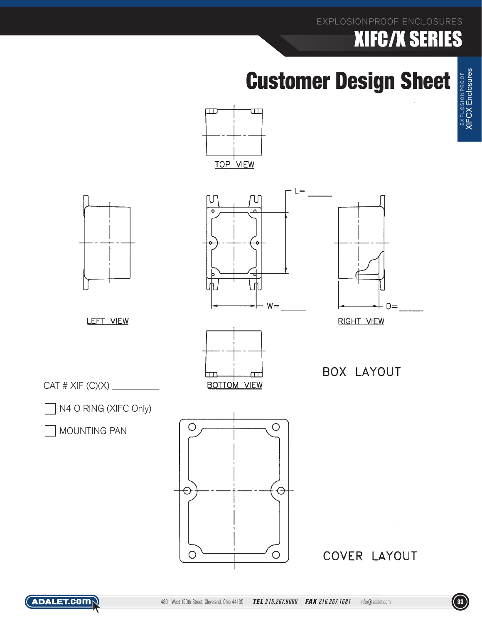### EXPLOSIONPROOF ENCLOSURES

# XIFC/X SERIES

# Customer Design Sheet